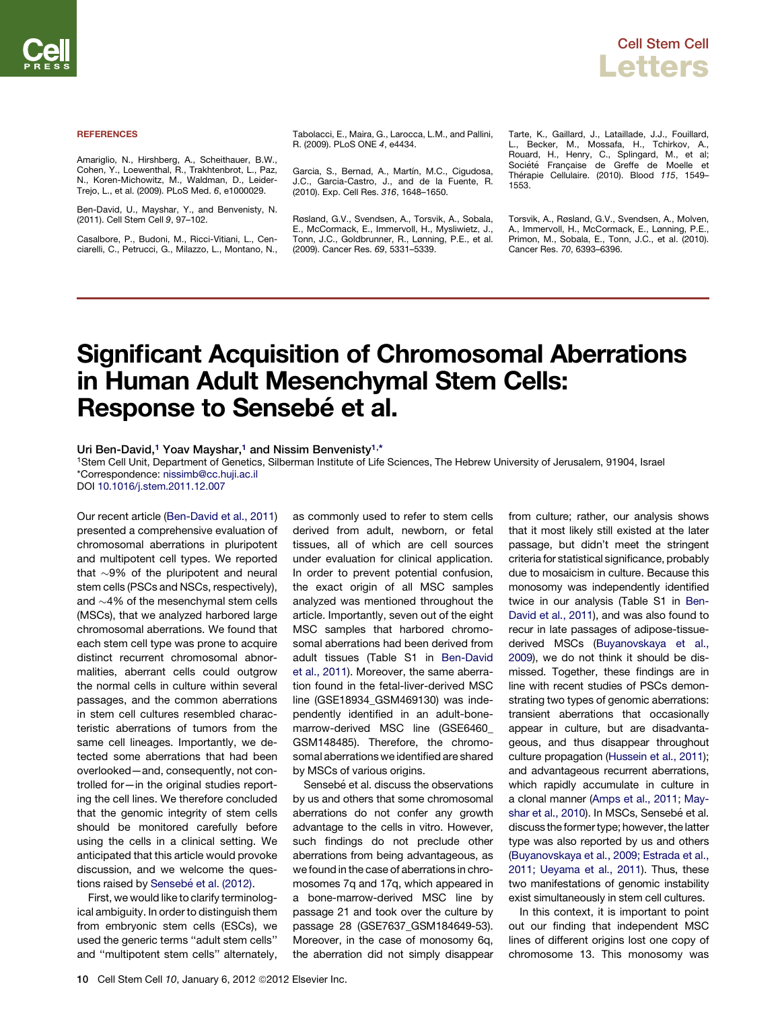## **REFERENCES**

Amariglio, N., Hirshberg, A., Scheithauer, B.W., Cohen, Y., Loewenthal, R., Trakhtenbrot, L., Paz, N., Koren-Michowitz, M., Waldman, D., Leider-Trejo, L., et al. (2009). PLoS Med. *6*, e1000029.

Ben-David, U., Mayshar, Y., and Benvenisty, N. (2011). Cell Stem Cell *9*, 97–102.

Casalbore, P., Budoni, M., Ricci-Vitiani, L., Cenciarelli, C., Petrucci, G., Milazzo, L., Montano, N., Tabolacci, E., Maira, G., Larocca, L.M., and Pallini, R. (2009). PLoS ONE *4*, e4434.

Garcia, S., Bernad, A., Martín, M.C., Cigudosa, J.C., Garcia-Castro, J., and de la Fuente, R. (2010). Exp. Cell Res. *316*, 1648–1650.

Røsland, G.V., Svendsen, A., Torsvik, A., Sobala, E., McCormack, E., Immervoll, H., Mysliwietz, J., Tonn, J.C., Goldbrunner, R., Lønning, P.E., et al. (2009). Cancer Res. *69*, 5331–5339.

Tarte, K., Gaillard, J., Lataillade, J.J., Fouillard, L., Becker, M., Mossafa, H., Tchirkov, A., Rouard, H., Henry, C., Splingard, M., et al;<br>Société Française de Greffe de Moelle et The´rapie Cellulaire. (2010). Blood *115*, 1549– 1553.

Torsvik, A., Røsland, G.V., Svendsen, A., Molven, A., Immervoll, H., McCormack, E., Lønning, P.E., Primon, M., Sobala, E., Tonn, J.C., et al. (2010). Cancer Res. *70*, 6393–6396.

## Significant Acquisition of Chromosomal Aberrations in Human Adult Mesenchymal Stem Cells: Response to Sensebé et al.

Uri Ben-David.<sup>1</sup> Yoav Mayshar.<sup>1</sup> and Nissim Benvenisty<sup>1,\*</sup>

1Stem Cell Unit, Department of Genetics, Silberman Institute of Life Sciences, The Hebrew University of Jerusalem, 91904, Israel \*Correspondence: [nissimb@cc.huji.ac.il](mailto:nissimb@cc.huji.ac.il)

DOI [10.1016/j.stem.2011.12.007](http://dx.doi.org/10.1016/j.stem.2011.12.007)

Our recent article [\(Ben-David et al., 2011\)](#page-1-0) presented a comprehensive evaluation of chromosomal aberrations in pluripotent and multipotent cell types. We reported that  $\sim$ 9% of the pluripotent and neural stem cells (PSCs and NSCs, respectively), and  $\sim$ 4% of the mesenchymal stem cells (MSCs), that we analyzed harbored large chromosomal aberrations. We found that each stem cell type was prone to acquire distinct recurrent chromosomal abnormalities, aberrant cells could outgrow the normal cells in culture within several passages, and the common aberrations in stem cell cultures resembled characteristic aberrations of tumors from the same cell lineages. Importantly, we detected some aberrations that had been overlooked—and, consequently, not controlled for—in the original studies reporting the cell lines. We therefore concluded that the genomic integrity of stem cells should be monitored carefully before using the cells in a clinical setting. We anticipated that this article would provoke discussion, and we welcome the questions raised by Sensebé [et al. \(2012\)](#page-1-0).

First, we would like to clarify terminological ambiguity. In order to distinguish them from embryonic stem cells (ESCs), we used the generic terms ''adult stem cells'' and ''multipotent stem cells'' alternately, as commonly used to refer to stem cells derived from adult, newborn, or fetal tissues, all of which are cell sources under evaluation for clinical application. In order to prevent potential confusion, the exact origin of all MSC samples analyzed was mentioned throughout the article. Importantly, seven out of the eight MSC samples that harbored chromosomal aberrations had been derived from adult tissues (Table S1 in [Ben-David](#page-1-0) [et al., 2011](#page-1-0)). Moreover, the same aberration found in the fetal-liver-derived MSC line (GSE18934\_GSM469130) was independently identified in an adult-bonemarrow-derived MSC line (GSE6460\_ GSM148485). Therefore, the chromosomal aberrations we identified are shared by MSCs of various origins.

Sensebé et al. discuss the observations by us and others that some chromosomal aberrations do not confer any growth advantage to the cells in vitro. However, such findings do not preclude other aberrations from being advantageous, as we found in the case of aberrations in chromosomes 7q and 17q, which appeared in a bone-marrow-derived MSC line by passage 21 and took over the culture by passage 28 (GSE7637\_GSM184649-53). Moreover, in the case of monosomy 6q, the aberration did not simply disappear

from culture; rather, our analysis shows that it most likely still existed at the later passage, but didn't meet the stringent criteria for statistical significance, probably due to mosaicism in culture. Because this monosomy was independently identified twice in our analysis (Table S1 in [Ben-](#page-1-0)[David et al., 2011\)](#page-1-0), and was also found to recur in late passages of adipose-tissuederived MSCs [\(Buyanovskaya et al.,](#page-1-0) [2009\)](#page-1-0), we do not think it should be dismissed. Together, these findings are in line with recent studies of PSCs demonstrating two types of genomic aberrations: transient aberrations that occasionally appear in culture, but are disadvantageous, and thus disappear throughout culture propagation ([Hussein et al., 2011](#page-1-0)); and advantageous recurrent aberrations, which rapidly accumulate in culture in a clonal manner [\(Amps et al., 2011; May](#page-1-0)[shar et al., 2010\)](#page-1-0). In MSCs, Sensebé et al. discuss the former type; however, the latter type was also reported by us and others ([Buyanovskaya et al., 2009; Estrada et al.,](#page-1-0) [2011; Ueyama et al., 2011](#page-1-0)). Thus, these two manifestations of genomic instability exist simultaneously in stem cell cultures.

In this context, it is important to point out our finding that independent MSC lines of different origins lost one copy of chromosome 13. This monosomy was